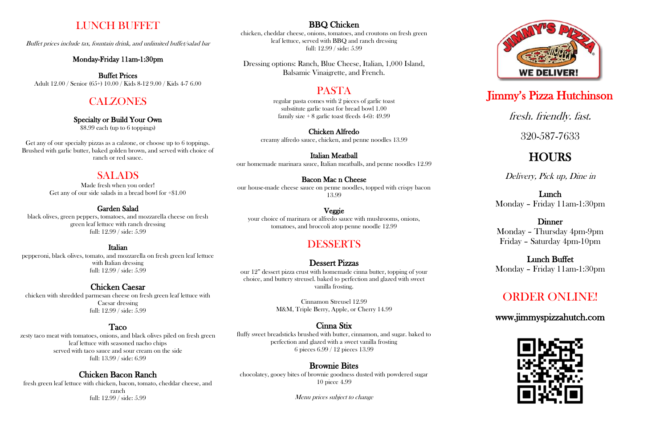# LUNCH BUFFET

Buffet prices include tax, fountain drink, and unlimited buffet/salad bar

#### Monday-Friday 11am-1:30pm

Buffet Prices Adult 12.00 / Senior (65+) 10.00 / Kids 8-12 9.00 / Kids 4-7 6.00

# **CALZONES**

#### Specialty or Build Your Own

\$8.99 each (up to 6 toppings)

Get any of our specialty pizzas as a calzone, or choose up to 6 toppings. Brushed with garlic butter, baked golden brown, and served with choice of ranch or red sauce.

### SALADS

Made fresh when you order! Get any of our side salads in a bread bowl for +\$1.00

#### Garden Salad

black olives, green peppers, tomatoes, and mozzarella cheese on fresh green leaf lettuce with ranch dressing full: 12.99 / side: 5.99

#### Italian

pepperoni, black olives, tomato, and mozzarella on fresh green leaf lettuce with Italian dressing full: 12.99 / side: 5.99

regular pasta comes with 2 pieces of garlic toast substitute garlic toast for bread bowl 1.00 family size  $+8$  garlic toast (feeds 4-6): 49.99

#### Chicken Caesar

chicken with shredded parmesan cheese on fresh green leaf lettuce with Caesar dressing full: 12.99 / side: 5.99

#### Taco

zesty taco meat with tomatoes, onions, and black olives piled on fresh green leaf lettuce with seasoned nacho chips served with taco sauce and sour cream on the side full: 13.99 / side: 6.99

### Chicken Bacon Ranch

fresh green leaf lettuce with chicken, bacon, tomato, cheddar cheese, and ranch full: 12.99 / side: 5.99

#### BBQ Chicken

chicken, cheddar cheese, onions, tomatoes, and croutons on fresh green leaf lettuce, served with BBQ and ranch dressing full: 12.99 / side: 5.99

Dressing options: Ranch, Blue Cheese, Italian, 1,000 Island, Balsamic Vinaigrette, and French.

# PASTA

#### Chicken Alfredo

creamy alfredo sauce, chicken, and penne noodles 13.99

#### Italian Meatball

our homemade marinara sauce, Italian meatballs, and penne noodles 12.99

#### Bacon Mac n Cheese

our house-made cheese sauce on penne noodles, topped with crispy bacon 13.99

#### Veggie

your choice of marinara or alfredo sauce with mushrooms, onions, tomatoes, and broccoli atop penne noodle 12.99

# DESSERTS

### Dessert Pizzas

our 12" dessert pizza crust with homemade cinna butter, topping of your choice, and buttery streusel. baked to perfection and glazed with sweet vanilla frosting.

> Cinnamon Streusel 12.99 M&M, Triple Berry, Apple, or Cherry 14.99

#### Cinna Stix

fluffy sweet breadsticks brushed with butter, cinnamon, and sugar. baked to perfection and glazed with a sweet vanilla frosting 6 pieces 6.99 / 12 pieces 13.99

#### Brownie Bites

chocolatey, gooey bites of brownie goodness dusted with powdered sugar 10 piece 4.99

Menu prices subject to change



# Jimmy's Pizza Hutchinson

# fresh. friendly. fast.

320-587-7633

# **HOURS**

Delivery, Pick up, Dine in

# Lunch

Monday – Friday 11am-1:30pm

# **Dinner**

Monday – Thursday 4pm-9pm Friday – Saturday 4pm-10pm

### Lunch Buffet Monday – Friday 11am-1:30pm

# ORDER ONLINE!

[www.jimmyspizzahutch.com](http://www.jimmyspizzahutch.com/)